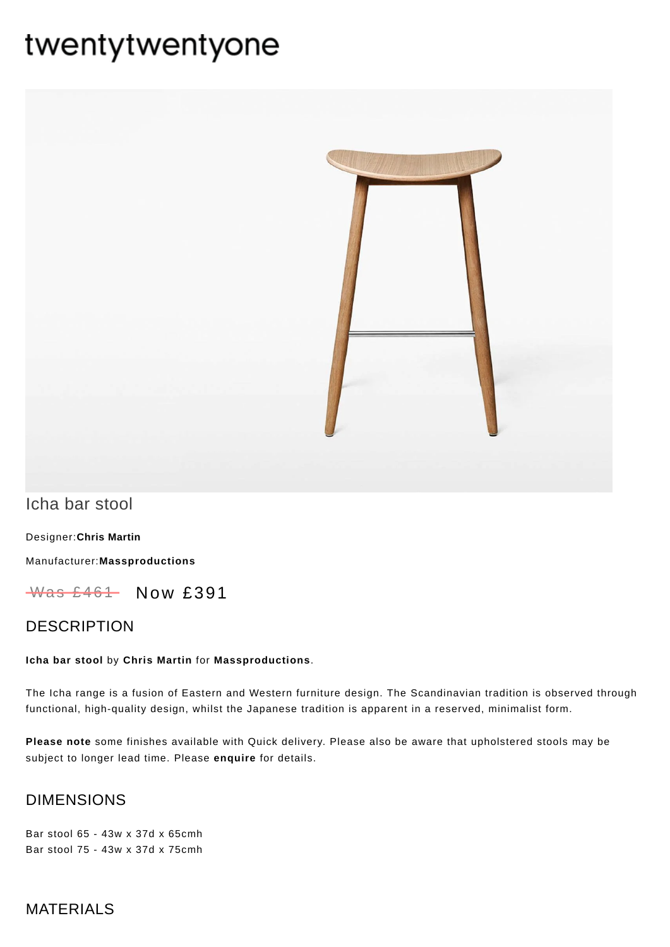# twentytwentyone



# Icha bar stool

[Designer:](https://www.twentytwentyone.com/collections/designers-chris-martin)**Chris Martin**

Manufacturer:**[Massproductions](https://www.twentytwentyone.com/collections/manufacturers-massproductions)**

 $W$ as £461 Now £391

## DESCRIPTION

#### **Icha bar stool** by **Chris [Martin](http://twentytwentyone.com/designer/chris-martin)** for **[Massproductions](http://twentytwentyone.com/manufacturer/massproductions)**.

The Icha range is a fusion of Eastern and Western furniture design. The Scandinavian tradition is observed through functional, high-quality design, whilst the Japanese tradition is apparent in a reserved, minimalist form.

**Please note** some finishes available with Quick delivery. Please also be aware that upholstered stools may be subject to longer lead time. Please **[enquire](mailto:showroom@twentytwentyone.com)** for details.

## DIMENSIONS

Bar stool 65 - 43w x 37d x 65cmh Bar stool 75 - 43w x 37d x 75cmh

## **MATERIALS**